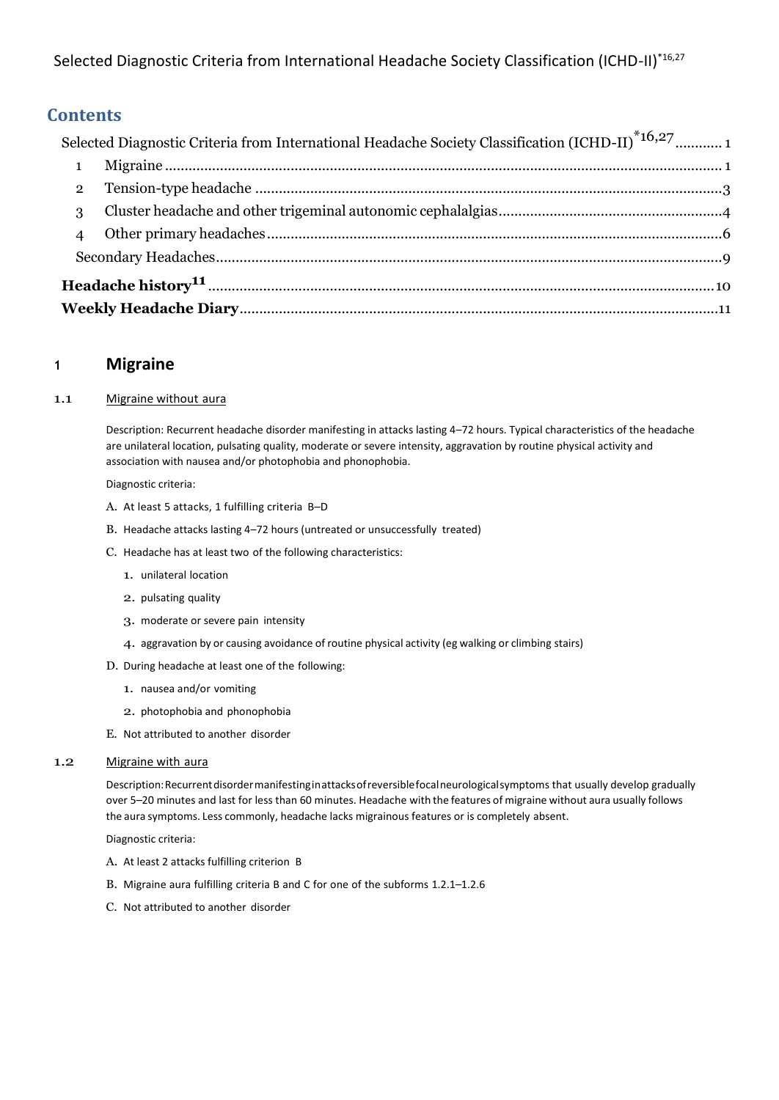<span id="page-0-0"></span>Selected Diagnostic Criteria from International Headache Society Classification (ICHD-II)\*16,27

## **Contents**

|                         | Selected Diagnostic Criteria from International Headache Society Classification (ICHD-II) <sup>*16,27</sup> 1 |  |  |  |  |
|-------------------------|---------------------------------------------------------------------------------------------------------------|--|--|--|--|
| $\overline{\mathbf{1}}$ |                                                                                                               |  |  |  |  |
| $\overline{2}$          |                                                                                                               |  |  |  |  |
| 3                       |                                                                                                               |  |  |  |  |
| $\overline{4}$          |                                                                                                               |  |  |  |  |
|                         |                                                                                                               |  |  |  |  |
|                         |                                                                                                               |  |  |  |  |
|                         |                                                                                                               |  |  |  |  |

## <span id="page-0-1"></span>**<sup>1</sup> Migraine**

## 1.1 Migraine without aura

Description: Recurrent headache disorder manifesting in attacks lasting 4–72 hours. Typical characteristics of the headache are unilateral location, pulsating quality, moderate or severe intensity, aggravation by routine physical activity and association with nausea and/or photophobia and phonophobia.

Diagnostic criteria:

- A. At least 5 attacks, 1 fulfilling criteria B–D
- B. Headache attacks lasting 4–72 hours (untreated or unsuccessfully treated)
- C. Headache has at least two of the following characteristics:
	- 1. unilateral location
	- 2. pulsating quality
	- 3. moderate or severe pain intensity
	- 4. aggravation by or causing avoidance of routine physical activity (eg walking or climbing stairs)
- D. During headache at least one of the following:
	- 1. nausea and/or vomiting
	- 2. photophobia and phonophobia
- E. Not attributed to another disorder

### 1.2 Migraine with aura

Description:Recurrentdisordermanifestinginattacksofreversiblefocalneurologicalsymptoms that usually develop gradually over 5–20 minutes and last for less than 60 minutes. Headache with the features of migraine without aura usually follows the aura symptoms. Less commonly, headache lacks migrainous features or is completely absent.

- A. At least 2 attacks fulfilling criterion B
- B. Migraine aura fulfilling criteria B and C for one of the subforms 1.2.1–1.2.6
- C. Not attributed to another disorder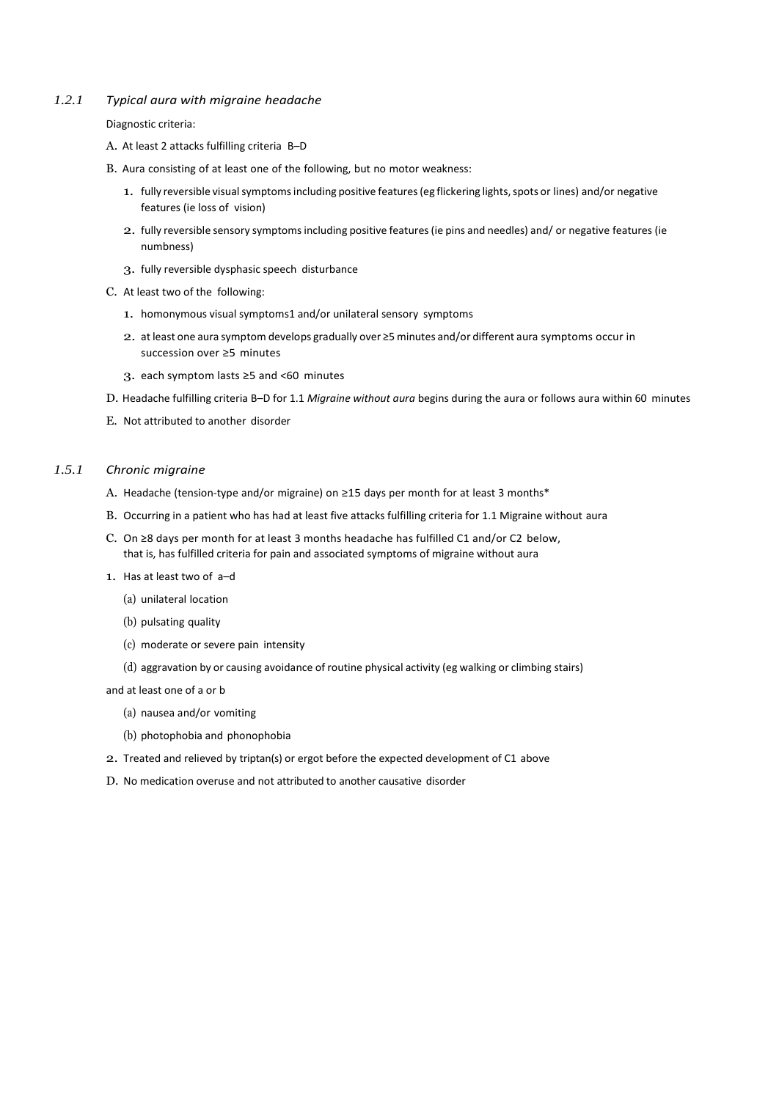#### *1.2.1 Typical aura with migraine headache*

Diagnostic criteria:

- A. At least 2 attacks fulfilling criteria B–D
- B. Aura consisting of at least one of the following, but no motor weakness:
	- 1. fully reversible visual symptoms including positive features (eg flickering lights, spots or lines) and/or negative features (ie loss of vision)
	- 2. fully reversible sensory symptomsincluding positive features(ie pins and needles) and/ or negative features (ie numbness)
	- 3. fully reversible dysphasic speech disturbance
- C. At least two of the following:
	- 1. homonymous visual symptoms1 and/or unilateral sensory symptoms
	- 2. at least one aura symptom develops gradually over ≥5 minutes and/or different aura symptoms occur in succession over ≥5 minutes
	- 3. each symptom lasts ≥5 and <60 minutes
- D. Headache fulfilling criteria B–D for 1.1 *Migraine without aura* begins during the aura or follows aura within 60 minutes
- E. Not attributed to another disorder

#### *1.5.1 Chronic migraine*

- A. Headache (tension-type and/or migraine) on ≥15 days per month for at least 3 months\*
- B. Occurring in a patient who has had at least five attacks fulfilling criteria for 1.1 Migraine without aura
- C. On ≥8 days per month for at least 3 months headache has fulfilled C1 and/or C2 below, that is, has fulfilled criteria for pain and associated symptoms of migraine without aura
- 1. Has at least two of a–d
	- (a) unilateral location
	- (b) pulsating quality
	- (c) moderate or severe pain intensity
	- (d) aggravation by or causing avoidance of routine physical activity (eg walking or climbing stairs)

and at least one of a or b

- (a) nausea and/or vomiting
- (b) photophobia and phonophobia
- 2. Treated and relieved by triptan(s) or ergot before the expected development of C1 above
- D. No medication overuse and not attributed to another causative disorder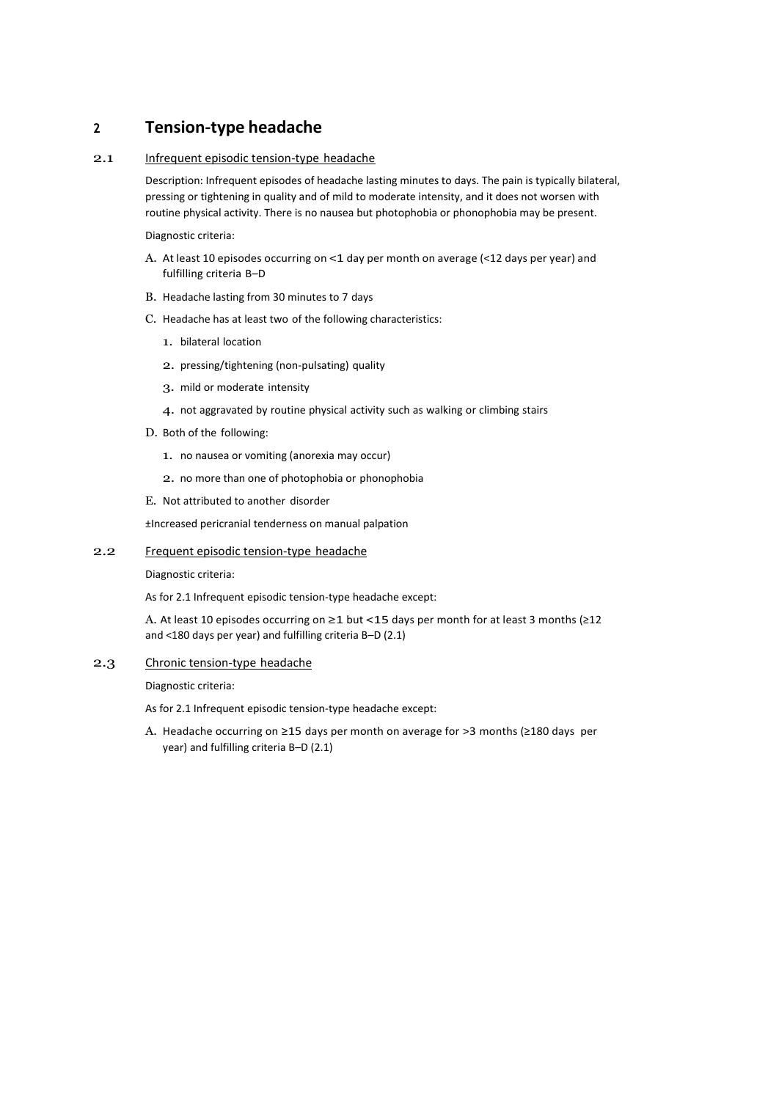## <span id="page-2-0"></span>**<sup>2</sup> Tension-type headache**

#### 2.1 Infrequent episodic tension-type headache

Description: Infrequent episodes of headache lasting minutes to days. The pain is typically bilateral, pressing or tightening in quality and of mild to moderate intensity, and it does not worsen with routine physical activity. There is no nausea but photophobia or phonophobia may be present.

Diagnostic criteria:

- A. At least 10 episodes occurring on <1 day per month on average (<12 days per year) and fulfilling criteria B–D
- B. Headache lasting from 30 minutes to 7 days
- C. Headache has at least two of the following characteristics:
	- 1. bilateral location
	- 2. pressing/tightening (non-pulsating) quality
	- 3. mild or moderate intensity
	- 4. not aggravated by routine physical activity such as walking or climbing stairs
- D. Both of the following:
	- 1. no nausea or vomiting (anorexia may occur)
	- 2. no more than one of photophobia or phonophobia

E. Not attributed to another disorder

±Increased pericranial tenderness on manual palpation

#### 2.2 Frequent episodic tension-type headache

Diagnostic criteria:

As for 2.1 Infrequent episodic tension-type headache except:

A. At least 10 episodes occurring on ≥1 but <15 days per month for at least 3 months (≥12 and <180 days per year) and fulfilling criteria B–D (2.1)

#### 2.3 Chronic tension-type headache

Diagnostic criteria:

As for 2.1 Infrequent episodic tension-type headache except:

A. Headache occurring on ≥15 days per month on average for >3 months (≥180 days per year) and fulfilling criteria B–D (2.1)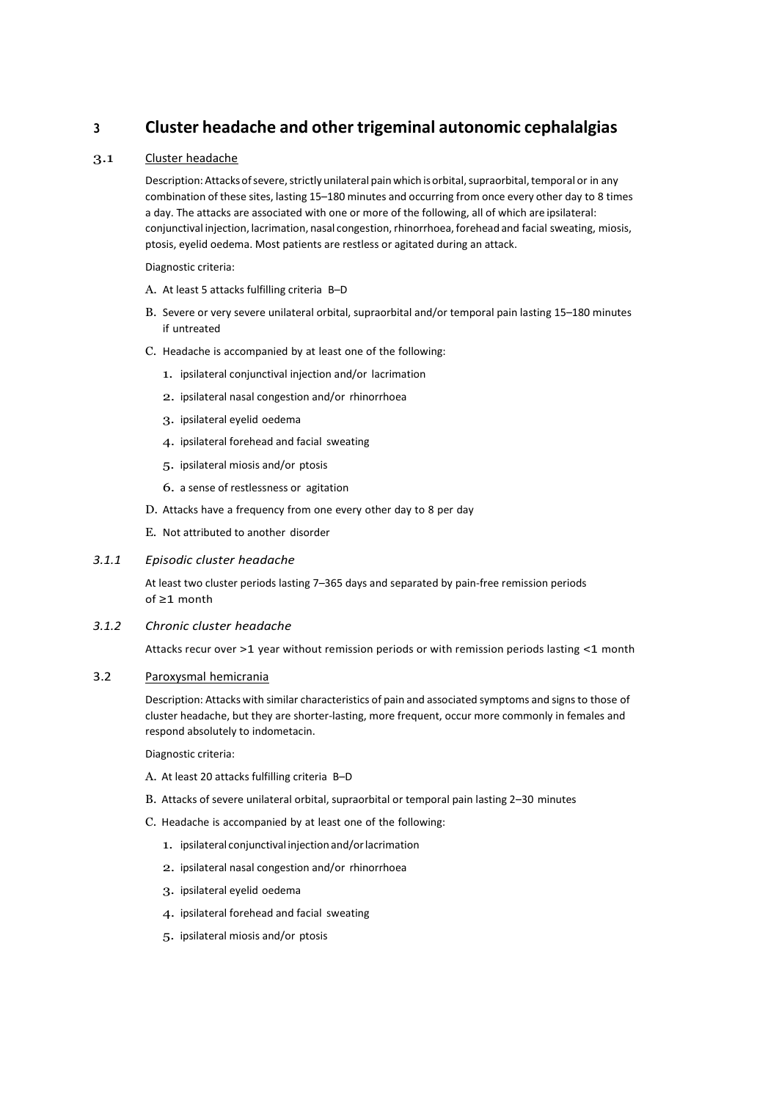## <span id="page-3-0"></span>**<sup>3</sup> Cluster headache and other trigeminal autonomic cephalalgias**

### 3.1 Cluster headache

Description: Attacks of severe, strictly unilateral pain which is orbital, supraorbital, temporal or in any combination of these sites, lasting 15–180 minutes and occurring from once every other day to 8 times a day. The attacks are associated with one or more of the following, all of which are ipsilateral: conjunctival injection, lacrimation, nasal congestion, rhinorrhoea, forehead and facial sweating, miosis, ptosis, eyelid oedema. Most patients are restless or agitated during an attack.

Diagnostic criteria:

- A. At least 5 attacks fulfilling criteria B–D
- B. Severe or very severe unilateral orbital, supraorbital and/or temporal pain lasting 15–180 minutes if untreated
- C. Headache is accompanied by at least one of the following:
	- 1. ipsilateral conjunctival injection and/or lacrimation
	- 2. ipsilateral nasal congestion and/or rhinorrhoea
	- 3. ipsilateral eyelid oedema
	- 4. ipsilateral forehead and facial sweating
	- 5. ipsilateral miosis and/or ptosis
	- 6. a sense of restlessness or agitation
- D. Attacks have a frequency from one every other day to 8 per day
- E. Not attributed to another disorder

#### *3.1.1 Episodic cluster headache*

At least two cluster periods lasting 7–365 days and separated by pain-free remission periods of ≥1 month

#### *3.1.2 Chronic cluster headache*

Attacks recur over >1 year without remission periods or with remission periods lasting <1 month

#### 3.2 Paroxysmal hemicrania

Description: Attacks with similar characteristics of pain and associated symptoms and signsto those of cluster headache, but they are shorter-lasting, more frequent, occur more commonly in females and respond absolutely to indometacin.

- A. At least 20 attacks fulfilling criteria B–D
- B. Attacks of severe unilateral orbital, supraorbital or temporal pain lasting 2–30 minutes
- C. Headache is accompanied by at least one of the following:
	- 1. ipsilateral conjunctival injectionand/orlacrimation
	- 2. ipsilateral nasal congestion and/or rhinorrhoea
	- 3. ipsilateral eyelid oedema
	- 4. ipsilateral forehead and facial sweating
	- 5. ipsilateral miosis and/or ptosis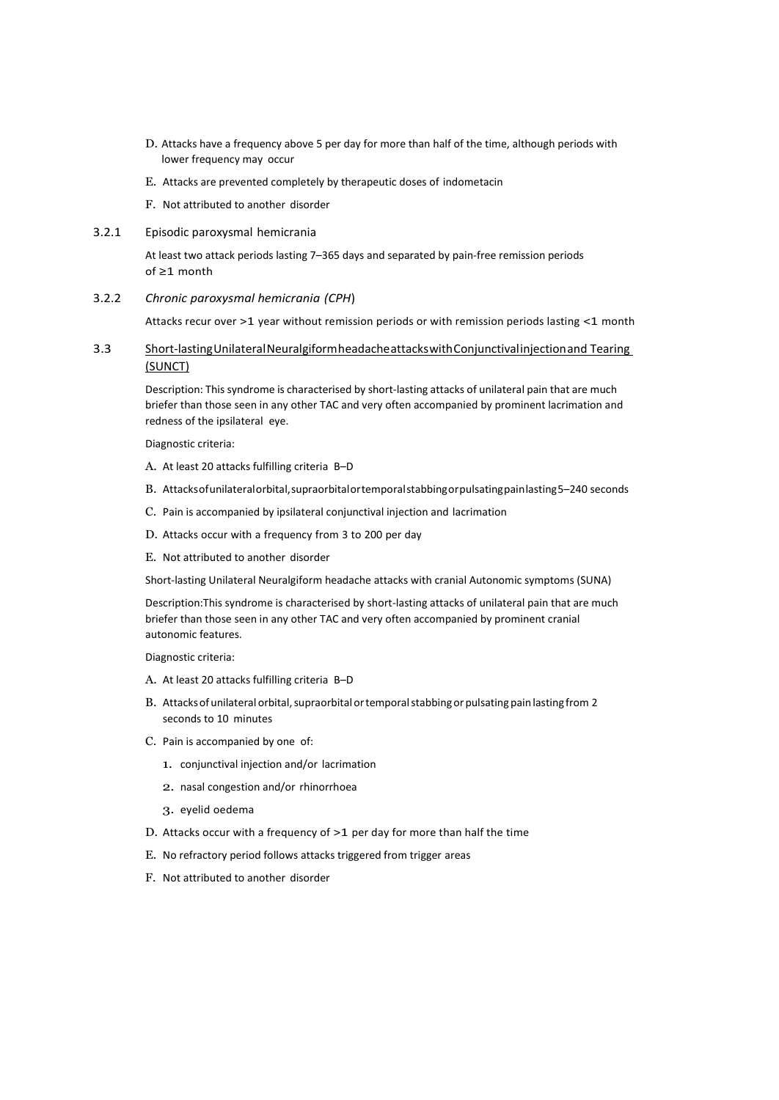- D. Attacks have a frequency above 5 per day for more than half of the time, although periods with lower frequency may occur
- E. Attacks are prevented completely by therapeutic doses of indometacin
- F. Not attributed to another disorder
- 3.2.1 Episodic paroxysmal hemicrania

At least two attack periods lasting 7–365 days and separated by pain-free remission periods of ≥1 month

3.2.2 *Chronic paroxysmal hemicrania (CPH*)

Attacks recur over >1 year without remission periods or with remission periods lasting <1 month

3.3 Short-lastingUnilateralNeuralgiformheadacheattackswithConjunctivalinjectionand Tearing (SUNCT)

Description: This syndrome is characterised by short-lasting attacks of unilateral pain that are much briefer than those seen in any other TAC and very often accompanied by prominent lacrimation and redness of the ipsilateral eye.

Diagnostic criteria:

- A. At least 20 attacks fulfilling criteria B–D
- B. Attacksofunilateralorbital,supraorbitalortemporalstabbingorpulsatingpainlasting5–240 seconds
- C. Pain is accompanied by ipsilateral conjunctival injection and lacrimation
- D. Attacks occur with a frequency from 3 to 200 per day
- E. Not attributed to another disorder

Short-lasting Unilateral Neuralgiform headache attacks with cranial Autonomic symptoms (SUNA)

Description:This syndrome is characterised by short-lasting attacks of unilateral pain that are much briefer than those seen in any other TAC and very often accompanied by prominent cranial autonomic features.

- A. At least 20 attacks fulfilling criteria B–D
- B. Attacks of unilateral orbital, supraorbital or temporal stabbing or pulsating pain lasting from 2 seconds to 10 minutes
- C. Pain is accompanied by one of:
	- 1. conjunctival injection and/or lacrimation
	- 2. nasal congestion and/or rhinorrhoea
	- 3. eyelid oedema
- D. Attacks occur with a frequency of >1 per day for more than half the time
- E. No refractory period follows attacks triggered from trigger areas
- F. Not attributed to another disorder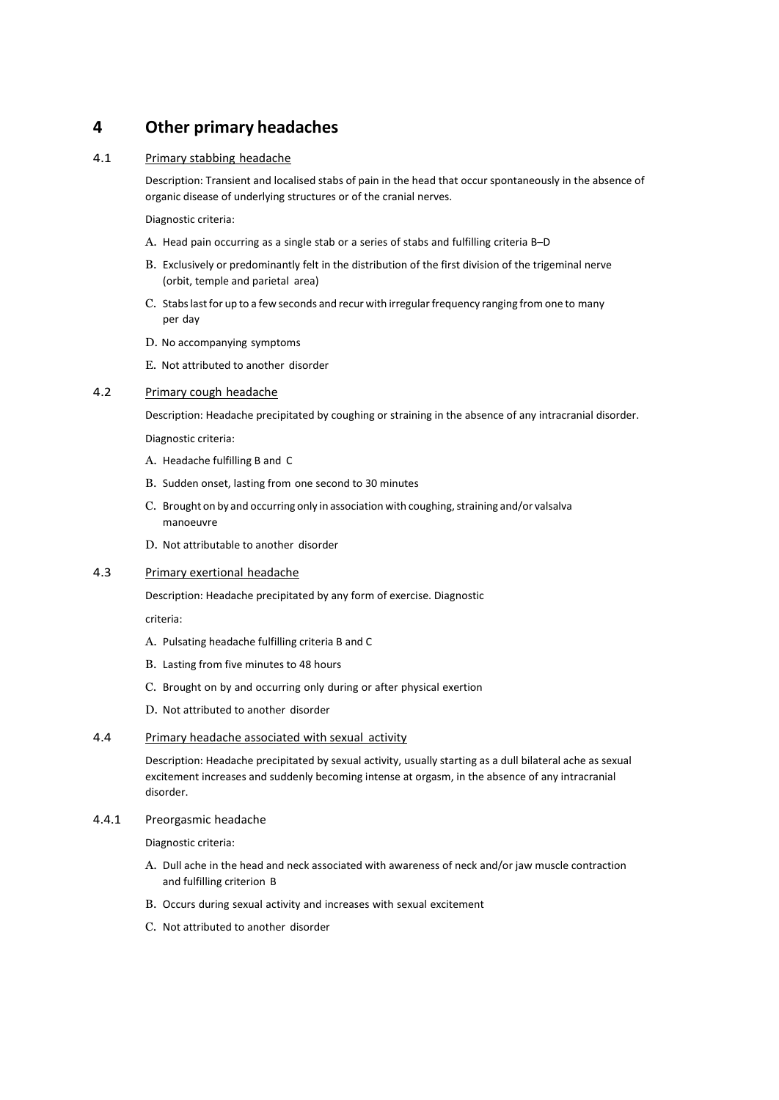## <span id="page-5-0"></span>**4 Other primary headaches**

#### 4.1 Primary stabbing headache

Description: Transient and localised stabs of pain in the head that occur spontaneously in the absence of organic disease of underlying structures or of the cranial nerves.

Diagnostic criteria:

- A. Head pain occurring as a single stab or a series of stabs and fulfilling criteria B–D
- B. Exclusively or predominantly felt in the distribution of the first division of the trigeminal nerve (orbit, temple and parietal area)
- C. Stabs last for up to a few seconds and recur with irregular frequency ranging from one to many per day
- D. No accompanying symptoms
- E. Not attributed to another disorder

#### 4.2 Primary cough headache

Description: Headache precipitated by coughing or straining in the absence of any intracranial disorder.

Diagnostic criteria:

- A. Headache fulfilling B and C
- B. Sudden onset, lasting from one second to 30 minutes
- C. Brought on by and occurring only in association with coughing, straining and/or valsalva manoeuvre
- D. Not attributable to another disorder

### 4.3 Primary exertional headache

Description: Headache precipitated by any form of exercise. Diagnostic

criteria:

- A. Pulsating headache fulfilling criteria B and C
- B. Lasting from five minutes to 48 hours
- C. Brought on by and occurring only during or after physical exertion
- D. Not attributed to another disorder

#### 4.4 Primary headache associated with sexual activity

Description: Headache precipitated by sexual activity, usually starting as a dull bilateral ache as sexual excitement increases and suddenly becoming intense at orgasm, in the absence of any intracranial disorder.

#### 4.4.1 Preorgasmic headache

- A. Dull ache in the head and neck associated with awareness of neck and/or jaw muscle contraction and fulfilling criterion B
- B. Occurs during sexual activity and increases with sexual excitement
- C. Not attributed to another disorder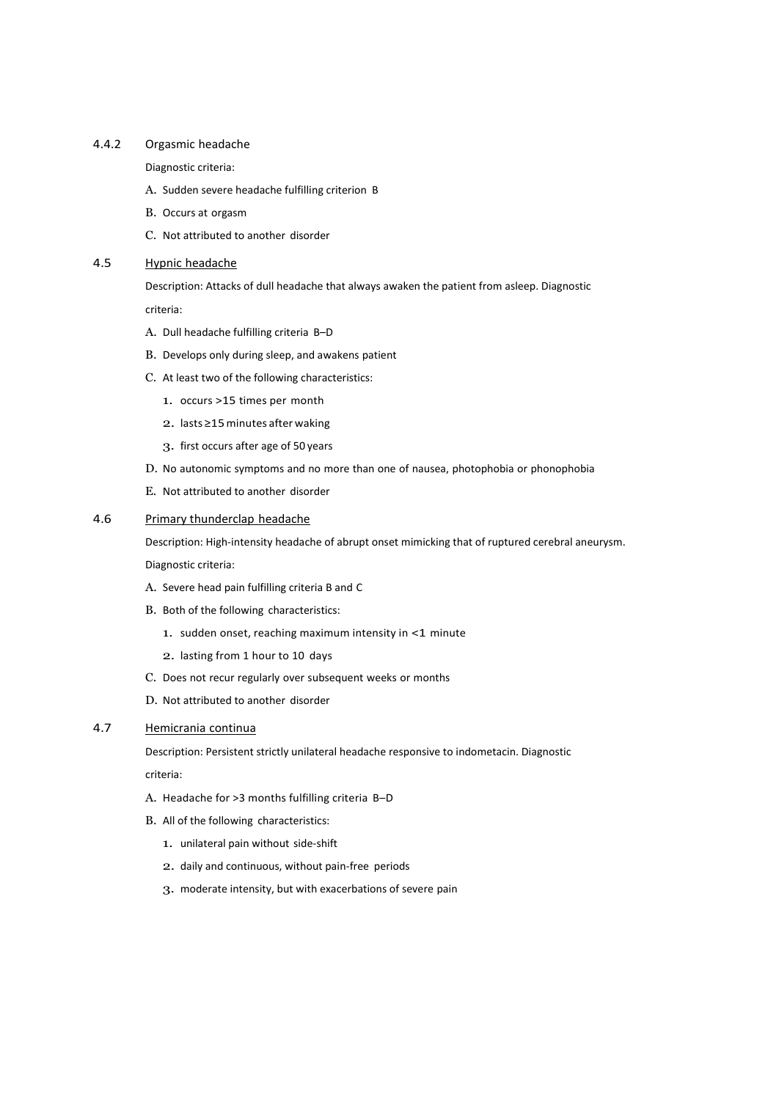#### 4.4.2 Orgasmic headache

Diagnostic criteria:

- A. Sudden severe headache fulfilling criterion B
- B. Occurs at orgasm
- C. Not attributed to another disorder

### 4.5 Hypnic headache

Description: Attacks of dull headache that always awaken the patient from asleep. Diagnostic criteria:

- A. Dull headache fulfilling criteria B–D
- B. Develops only during sleep, and awakens patient
- C. At least two of the following characteristics:
	- 1. occurs >15 times per month
	- 2. lasts ≥15minutes after waking
	- 3. first occurs after age of 50 years
- D. No autonomic symptoms and no more than one of nausea, photophobia or phonophobia
- E. Not attributed to another disorder

### 4.6 Primary thunderclap headache

Description: High-intensity headache of abrupt onset mimicking that of ruptured cerebral aneurysm. Diagnostic criteria:

- A. Severe head pain fulfilling criteria B and C
- B. Both of the following characteristics:
	- 1. sudden onset, reaching maximum intensity in <1 minute
	- 2. lasting from 1 hour to 10 days
- C. Does not recur regularly over subsequent weeks or months
- D. Not attributed to another disorder

## 4.7 Hemicrania continua

Description: Persistent strictly unilateral headache responsive to indometacin. Diagnostic

criteria:

- A. Headache for >3 months fulfilling criteria B–D
- B. All of the following characteristics:
	- 1. unilateral pain without side-shift
	- 2. daily and continuous, without pain-free periods
	- 3. moderate intensity, but with exacerbations of severe pain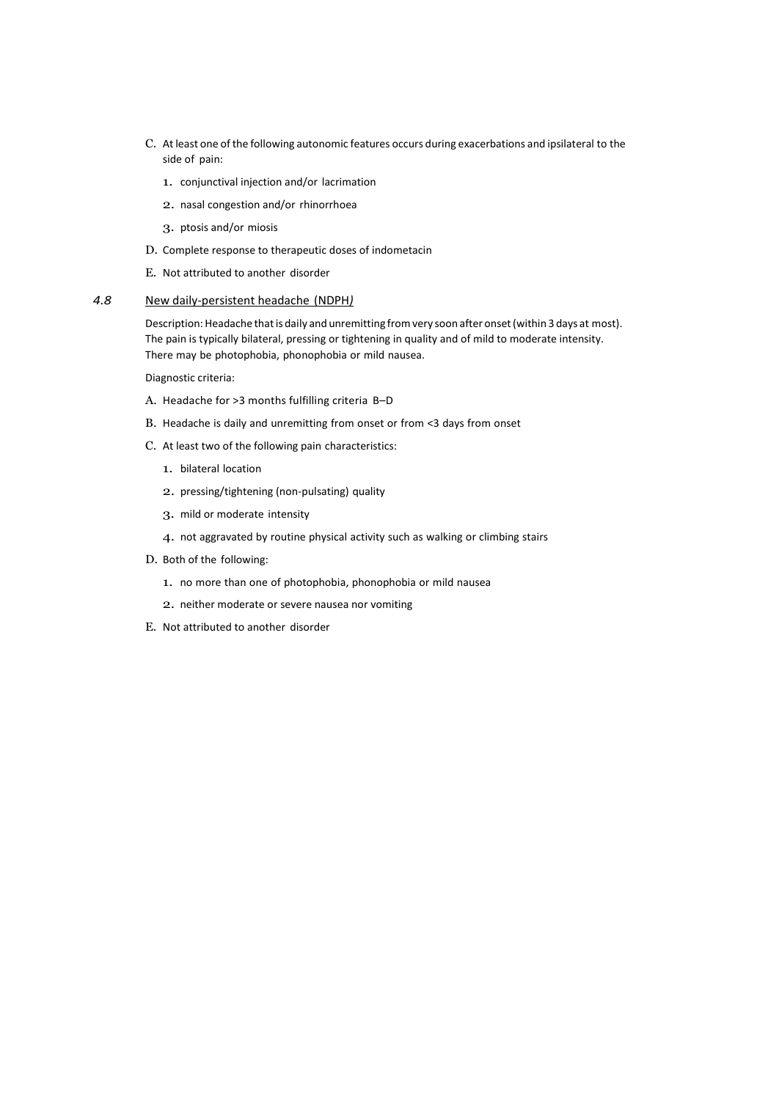- C. At least one of the following autonomic features occurs during exacerbations and ipsilateral to the side of pain:
	- 1. conjunctival injection and/or lacrimation
	- 2. nasal congestion and/or rhinorrhoea
	- 3. ptosis and/or miosis
- D. Complete response to therapeutic doses of indometacin
- E. Not attributed to another disorder

#### *4.8* New daily-persistent headache (NDPH*)*

Description: Headache that is daily and unremitting from very soon after onset (within 3 days at most). The pain is typically bilateral, pressing or tightening in quality and of mild to moderate intensity. There may be photophobia, phonophobia or mild nausea.

- A. Headache for >3 months fulfilling criteria B–D
- B. Headache is daily and unremitting from onset or from <3 days from onset
- C. At least two of the following pain characteristics:
	- 1. bilateral location
	- 2. pressing/tightening (non-pulsating) quality
	- 3. mild or moderate intensity
	- 4. not aggravated by routine physical activity such as walking or climbing stairs
- D. Both of the following:
	- 1. no more than one of photophobia, phonophobia or mild nausea
	- 2. neither moderate or severe nausea nor vomiting
- E. Not attributed to another disorder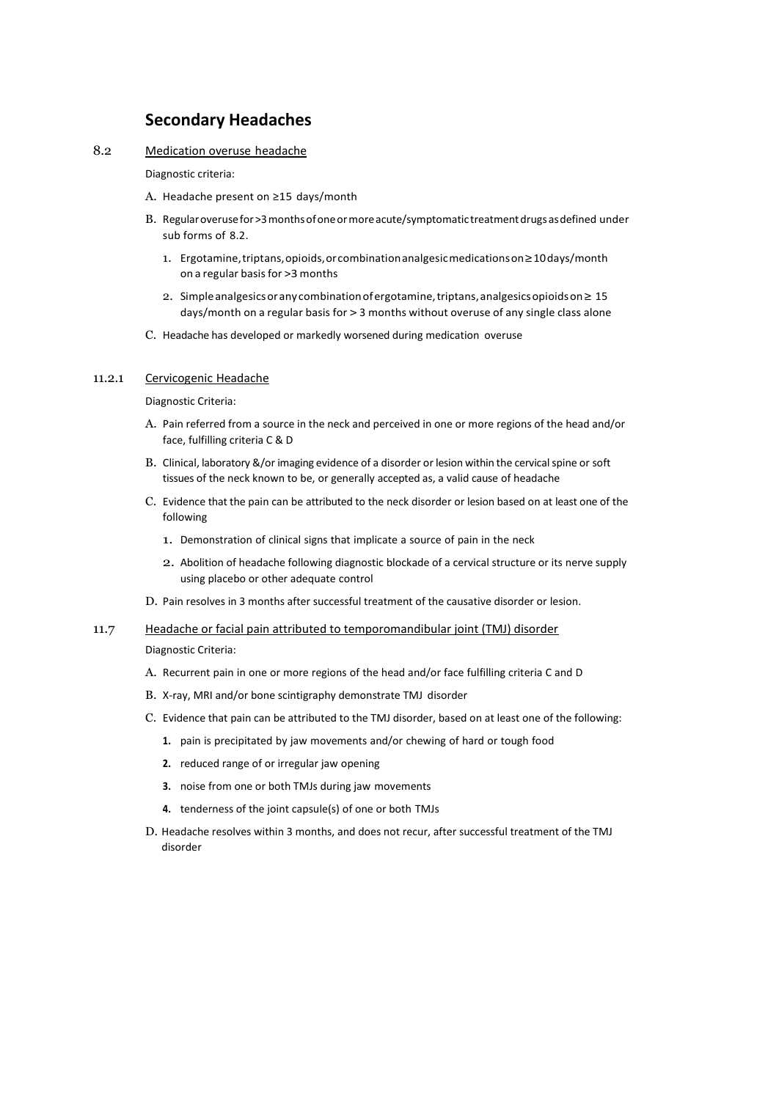## **Secondary Headaches**

<span id="page-8-0"></span>8.2 Medication overuse headache

Diagnostic criteria:

- A. Headache present on ≥15 days/month
- B. Regularoverusefor>3monthsofoneormoreacute/symptomatic treatmentdrugs asdefined under sub forms of 8.2.
	- 1. Ergotamine,triptans,opioids,orcombinationanalgesicmedicationson≥10days/month on a regular basis for >3 months
	- 2. Simpleanalgesicsorany combinationofergotamine,triptans,analgesicsopioidson≥ 15 days/month on a regular basis for > 3 months without overuse of any single class alone
- C. Headache has developed or markedly worsened during medication overuse

#### 11.2.1 Cervicogenic Headache

Diagnostic Criteria:

- A. Pain referred from a source in the neck and perceived in one or more regions of the head and/or face, fulfilling criteria C & D
- B. Clinical, laboratory &/or imaging evidence of a disorder or lesion within the cervical spine or soft tissues of the neck known to be, or generally accepted as, a valid cause of headache
- C. Evidence that the pain can be attributed to the neck disorder or lesion based on at least one of the following
	- 1. Demonstration of clinical signs that implicate a source of pain in the neck
	- 2. Abolition of headache following diagnostic blockade of a cervical structure or its nerve supply using placebo or other adequate control
- D. Pain resolves in 3 months after successful treatment of the causative disorder or lesion.

#### 11.7 Headache or facial pain attributed to temporomandibular joint (TMJ) disorder

- A. Recurrent pain in one or more regions of the head and/or face fulfilling criteria C and D
- B. X-ray, MRI and/or bone scintigraphy demonstrate TMJ disorder
- C. Evidence that pain can be attributed to the TMJ disorder, based on at least one of the following:
	- **1.** pain is precipitated by jaw movements and/or chewing of hard or tough food
	- **2.** reduced range of or irregular jaw opening
	- **3.** noise from one or both TMJs during jaw movements
	- **4.** tenderness of the joint capsule(s) of one or both TMJs
- D. Headache resolves within 3 months, and does not recur, after successful treatment of the TMJ disorder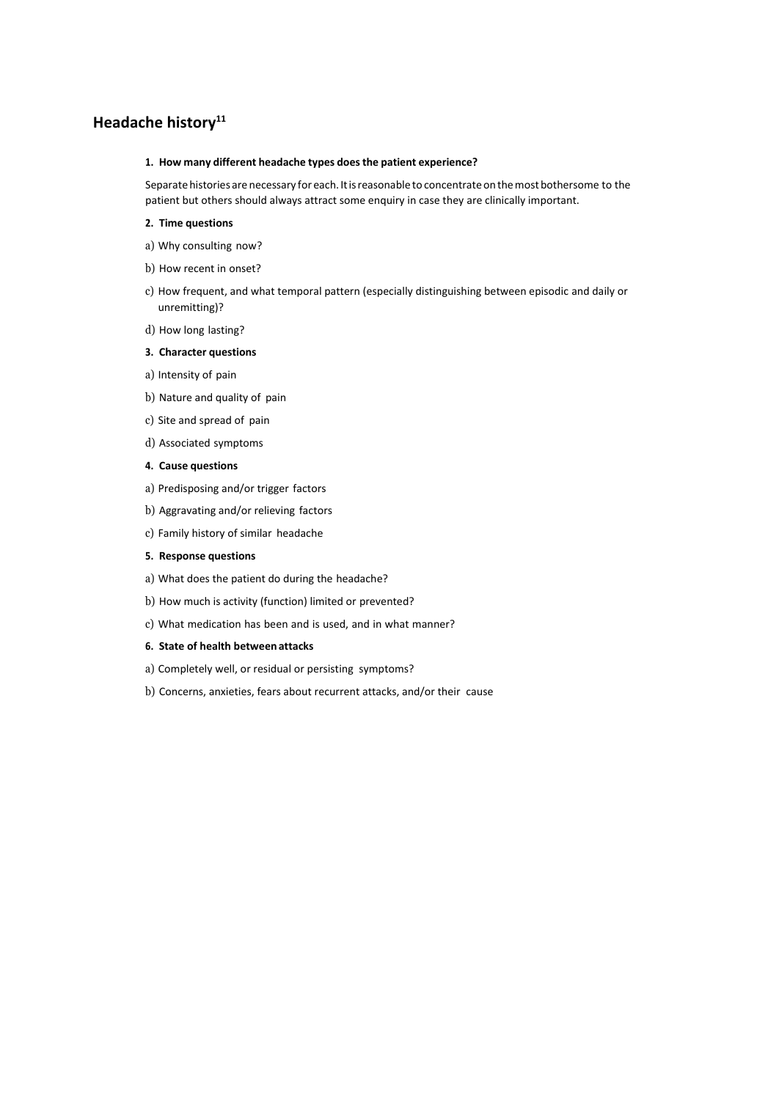## <span id="page-9-0"></span>**Headache history<sup>11</sup>**

#### **1. How many different headache types doesthe patient experience?**

Separate histories are necessary for each. It is reasonable to concentrate on the most bothersome to the patient but others should always attract some enquiry in case they are clinically important.

#### **2. Time questions**

- a) Why consulting now?
- b) How recent in onset?
- c) How frequent, and what temporal pattern (especially distinguishing between episodic and daily or unremitting)?
- d) How long lasting?

#### **3. Character questions**

- a) Intensity of pain
- b) Nature and quality of pain
- c) Site and spread of pain
- d) Associated symptoms

#### **4. Cause questions**

- a) Predisposing and/or trigger factors
- b) Aggravating and/or relieving factors
- c) Family history of similar headache

#### **5. Response questions**

- a) What does the patient do during the headache?
- b) How much is activity (function) limited or prevented?
- c) What medication has been and is used, and in what manner?

### **6. State of health betweenattacks**

- a) Completely well, or residual or persisting symptoms?
- b) Concerns, anxieties, fears about recurrent attacks, and/or their cause